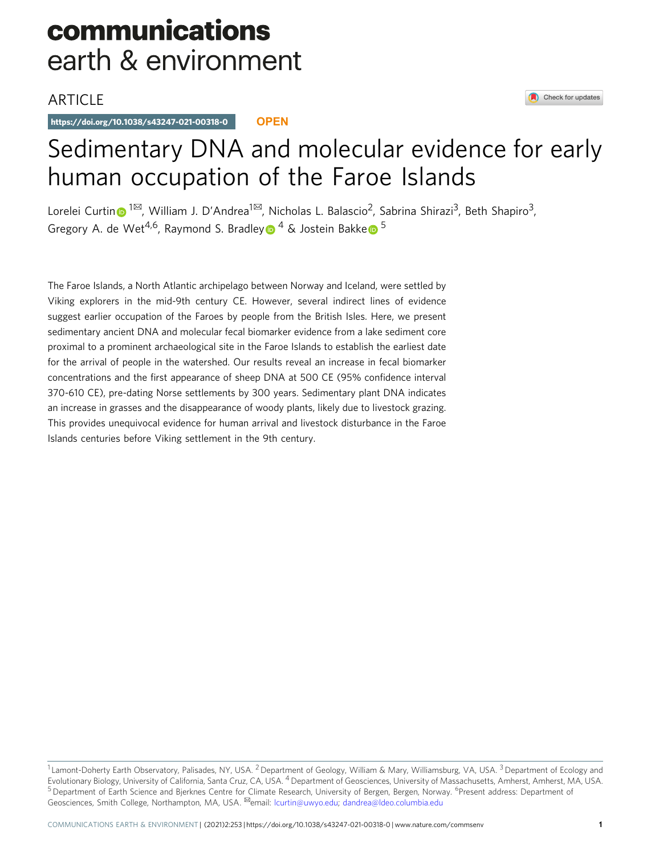## communications earth & environment

## **ARTICLE**

https://doi.org/10.1038/s43247-021-00318-0 **OPEN**

# Sedimentary DNA and molecular evidence for early human occupation of the Faroe Islands

Lorelei Curti[n](http://orcid.org/0000-0001-8696-4908) <sup>1⊠</sup>, William J. D'Andrea<sup>1⊠</sup>, Nicholas L. Balascio<sup>2</sup>, Sabrina Shirazi<sup>3</sup>, Beth Shapiro<sup>3</sup>, Gregor[y](http://orcid.org/0000-0002-4032-9519) A. d[e](http://orcid.org/0000-0001-6114-0400) Wet<sup>4,6</sup>, Raymond S. Bradley  $\theta$ <sup>4</sup> & Jostein Bakke  $\theta$ <sup>5</sup>

The Faroe Islands, a North Atlantic archipelago between Norway and Iceland, were settled by Viking explorers in the mid-9th century CE. However, several indirect lines of evidence suggest earlier occupation of the Faroes by people from the British Isles. Here, we present sedimentary ancient DNA and molecular fecal biomarker evidence from a lake sediment core proximal to a prominent archaeological site in the Faroe Islands to establish the earliest date for the arrival of people in the watershed. Our results reveal an increase in fecal biomarker concentrations and the first appearance of sheep DNA at 500 CE (95% confidence interval 370-610 CE), pre-dating Norse settlements by 300 years. Sedimentary plant DNA indicates an increase in grasses and the disappearance of woody plants, likely due to livestock grazing. This provides unequivocal evidence for human arrival and livestock disturbance in the Faroe Islands centuries before Viking settlement in the 9th century.

<sup>&</sup>lt;sup>1</sup> Lamont-Doherty Earth Observatory, Palisades, NY, USA. <sup>2</sup> Department of Geology, William & Mary, Williamsburg, VA, USA. <sup>3</sup> Department of Ecology and Evolutionary Biology, University of California, Santa Cruz, CA, USA. <sup>4</sup> Department of Geosciences, University of Massachusetts, Amherst, Amherst, MA, USA. <sup>5</sup> Department of Earth Science and Bjerknes Centre for Climate Research, University of Bergen, Bergen, Norway. <sup>6</sup>Present address: Department of Geosciences, Smith College, Northampton, MA, USA. ✉email: [lcurtin@uwyo.edu](mailto:lcurtin@uwyo.edu); [dandrea@ldeo.columbia.edu](mailto:dandrea@ldeo.columbia.edu)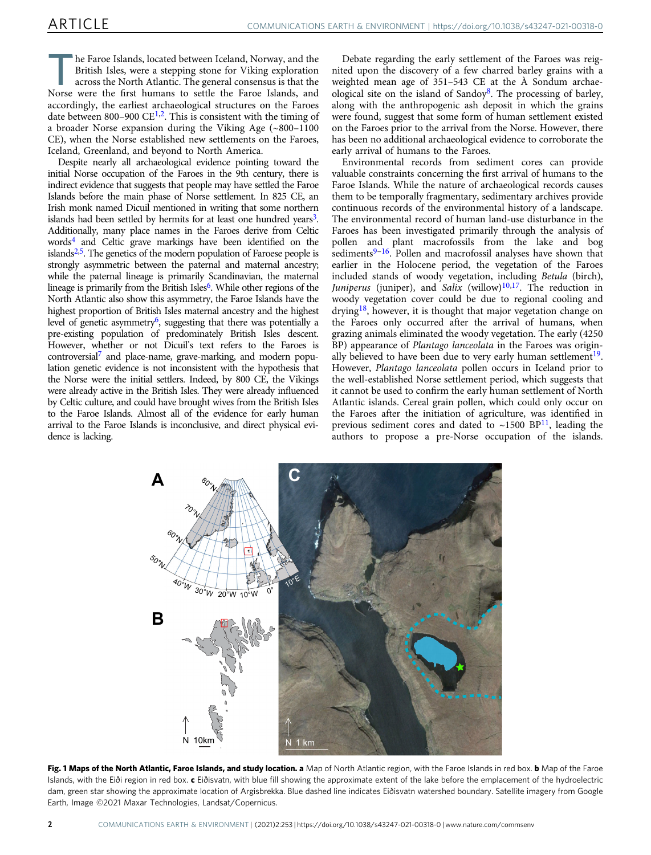<span id="page-1-0"></span>he Faroe Islands, located between Iceland, Norway, and the British Isles, were a stepping stone for Viking exploration across the North Atlantic. The general consensus is that the Norse were the first humans to settle the Faroe Islands, and accordingly, the earliest archaeological structures on the Faroes date between 800–900  $CE^{1,2}$  $CE^{1,2}$  $CE^{1,2}$  $CE^{1,2}$  $CE^{1,2}$ . This is consistent with the timing of a broader Norse expansion during the Viking Age (~800–1100 CE), when the Norse established new settlements on the Faroes, Iceland, Greenland, and beyond to North America.

Despite nearly all archaeological evidence pointing toward the initial Norse occupation of the Faroes in the 9th century, there is indirect evidence that suggests that people may have settled the Faroe Islands before the main phase of Norse settlement. In 825 CE, an Irish monk named Dicuil mentioned in writing that some northern islands had been settled by hermits for at least one hundred years<sup>3</sup>. Additionally, many place names in the Faroes derive from Celtic word[s4](#page-5-0) and Celtic grave markings have been identified on the islands $2,5$  $2,5$ . The genetics of the modern population of Faroese people is strongly asymmetric between the paternal and maternal ancestry; while the paternal lineage is primarily Scandinavian, the maternal lineage is primarily from the British Isles<sup>6</sup>. While other regions of the North Atlantic also show this asymmetry, the Faroe Islands have the highest proportion of British Isles maternal ancestry and the highest level of genetic asymmetry<sup>[6](#page-5-0)</sup>, suggesting that there was potentially a pre-existing population of predominately British Isles descent. However, whether or not Dicuil's text refers to the Faroes is controversial<sup>7</sup> and place-name, grave-marking, and modern population genetic evidence is not inconsistent with the hypothesis that the Norse were the initial settlers. Indeed, by 800 CE, the Vikings were already active in the British Isles. They were already influenced by Celtic culture, and could have brought wives from the British Isles to the Faroe Islands. Almost all of the evidence for early human arrival to the Faroe Islands is inconclusive, and direct physical evidence is lacking.

Debate regarding the early settlement of the Faroes was reignited upon the discovery of a few charred barley grains with a weighted mean age of 351–543 CE at the À Sondum archaeological site on the island of Sandoy<sup>8</sup>. The processing of barley, along with the anthropogenic ash deposit in which the grains were found, suggest that some form of human settlement existed on the Faroes prior to the arrival from the Norse. However, there has been no additional archaeological evidence to corroborate the early arrival of humans to the Faroes.

Environmental records from sediment cores can provide valuable constraints concerning the first arrival of humans to the Faroe Islands. While the nature of archaeological records causes them to be temporally fragmentary, sedimentary archives provide continuous records of the environmental history of a landscape. The environmental record of human land-use disturbance in the Faroes has been investigated primarily through the analysis of pollen and plant macrofossils from the lake and bog  $s$ ediments $9-16$  $9-16$  $9-16$ . Pollen and macrofossil analyses have shown that earlier in the Holocene period, the vegetation of the Faroes included stands of woody vegetation, including Betula (birch), Juniperus (juniper), and Salix (willow) $10,17$ . The reduction in woody vegetation cover could be due to regional cooling and drying<sup>18</sup>, however, it is thought that major vegetation change on the Faroes only occurred after the arrival of humans, when grazing animals eliminated the woody vegetation. The early (4250 BP) appearance of Plantago lanceolata in the Faroes was originally believed to have been due to very early human settlement<sup>19</sup>. However, Plantago lanceolata pollen occurs in Iceland prior to the well-established Norse settlement period, which suggests that it cannot be used to confirm the early human settlement of North Atlantic islands. Cereal grain pollen, which could only occur on the Faroes after the initiation of agriculture, was identified in previous sediment cores and dated to  $\sim$ 1500 BP<sup>11</sup>, leading the authors to propose a pre-Norse occupation of the islands.



Fig. 1 Maps of the North Atlantic, Faroe Islands, and study location. a Map of North Atlantic region, with the Faroe Islands in red box. b Map of the Faroe Islands, with the Eiði region in red box. c Eiðisvatn, with blue fill showing the approximate extent of the lake before the emplacement of the hydroelectric dam, green star showing the approximate location of Argisbrekka. Blue dashed line indicates Eiðisvatn watershed boundary. Satellite imagery from Google Earth, Image ©2021 Maxar Technologies, Landsat/Copernicus.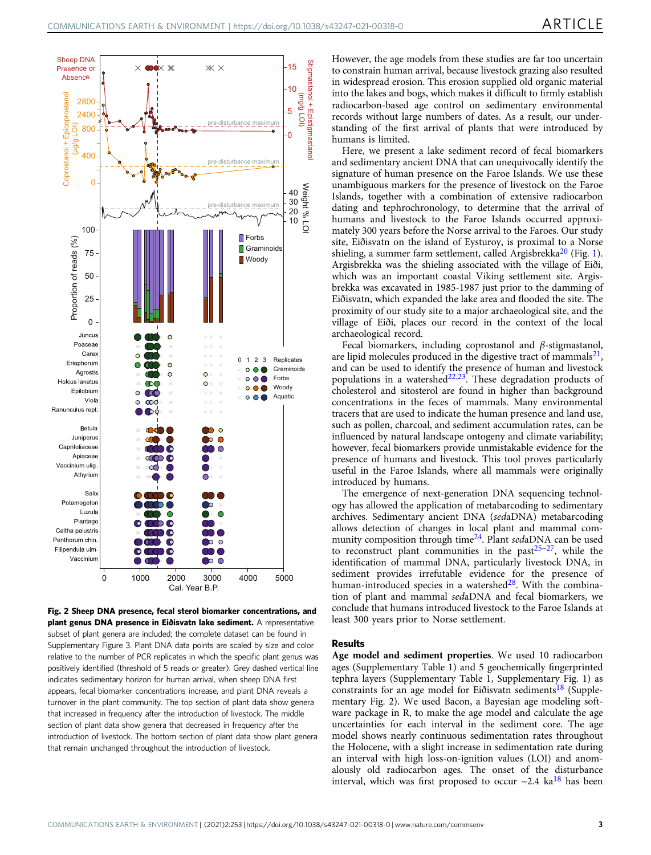<span id="page-2-0"></span>

Fig. 2 Sheep DNA presence, fecal sterol biomarker concentrations, and plant genus DNA presence in Eiðisvatn lake sediment. A representative subset of plant genera are included; the complete dataset can be found in Supplementary Figure 3. Plant DNA data points are scaled by size and color relative to the number of PCR replicates in which the specific plant genus was positively identified (threshold of 5 reads or greater). Grey dashed vertical line indicates sedimentary horizon for human arrival, when sheep DNA first appears, fecal biomarker concentrations increase, and plant DNA reveals a turnover in the plant community. The top section of plant data show genera that increased in frequency after the introduction of livestock. The middle section of plant data show genera that decreased in frequency after the introduction of livestock. The bottom section of plant data show plant genera that remain unchanged throughout the introduction of livestock.

However, the age models from these studies are far too uncertain to constrain human arrival, because livestock grazing also resulted in widespread erosion. This erosion supplied old organic material into the lakes and bogs, which makes it difficult to firmly establish radiocarbon-based age control on sedimentary environmental records without large numbers of dates. As a result, our understanding of the first arrival of plants that were introduced by humans is limited.

Here, we present a lake sediment record of fecal biomarkers and sedimentary ancient DNA that can unequivocally identify the signature of human presence on the Faroe Islands. We use these unambiguous markers for the presence of livestock on the Faroe Islands, together with a combination of extensive radiocarbon dating and tephrochronology, to determine that the arrival of humans and livestock to the Faroe Islands occurred approximately 300 years before the Norse arrival to the Faroes. Our study site, Eiðisvatn on the island of Eysturoy, is proximal to a Norse shieling, a summer farm settlement, called Argisbrekka<sup>[20](#page-5-0)</sup> (Fig. [1](#page-1-0)). Argisbrekka was the shieling associated with the village of Eiði, which was an important coastal Viking settlement site. Argisbrekka was excavated in 1985-1987 just prior to the damming of Eiðisvatn, which expanded the lake area and flooded the site. The proximity of our study site to a major archaeological site, and the village of Eiði, places our record in the context of the local archaeological record.

Fecal biomarkers, including coprostanol and β-stigmastanol, are lipid molecules produced in the digestive tract of mammals $^{21}$ , and can be used to identify the presence of human and livestock populations in a watershed<sup>[22](#page-5-0),[23](#page-5-0)</sup>. These degradation products of cholesterol and sitosterol are found in higher than background concentrations in the feces of mammals. Many environmental tracers that are used to indicate the human presence and land use, such as pollen, charcoal, and sediment accumulation rates, can be influenced by natural landscape ontogeny and climate variability; however, fecal biomarkers provide unmistakable evidence for the presence of humans and livestock. This tool proves particularly useful in the Faroe Islands, where all mammals were originally introduced by humans.

The emergence of next-generation DNA sequencing technology has allowed the application of metabarcoding to sedimentary archives. Sedimentary ancient DNA (sedaDNA) metabarcoding allows detection of changes in local plant and mammal community composition through time<sup>24</sup>. Plant sedaDNA can be used to reconstruct plant communities in the past $25-27$  $25-27$  $25-27$ , while the identification of mammal DNA, particularly livestock DNA, in sediment provides irrefutable evidence for the presence of human-introduced species in a watershed $28$ . With the combination of plant and mammal sedaDNA and fecal biomarkers, we conclude that humans introduced livestock to the Faroe Islands at least 300 years prior to Norse settlement.

### Results

Age model and sediment properties. We used 10 radiocarbon ages (Supplementary Table 1) and 5 geochemically fingerprinted tephra layers (Supplementary Table 1, Supplementary Fig. 1) as constraints for an age model for Eiðisvatn sediments<sup>[18](#page-5-0)</sup> (Supplementary Fig. 2). We used Bacon, a Bayesian age modeling software package in R, to make the age model and calculate the age uncertainties for each interval in the sediment core. The age model shows nearly continuous sedimentation rates throughout the Holocene, with a slight increase in sedimentation rate during an interval with high loss-on-ignition values (LOI) and anomalously old radiocarbon ages. The onset of the disturbance interval, which was first proposed to occur  $\sim$ 2.4 ka<sup>[18](#page-5-0)</sup> has been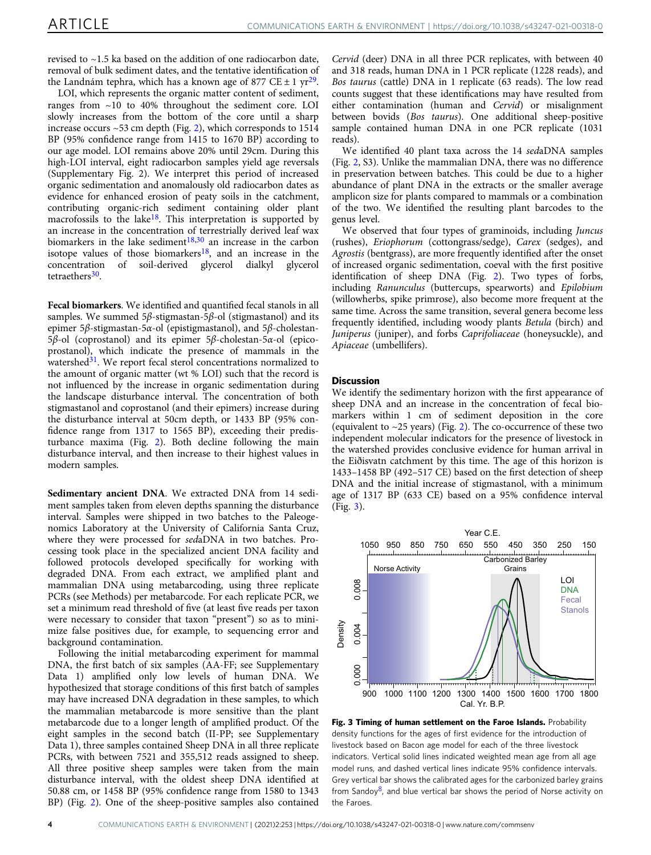<span id="page-3-0"></span>revised to ~1.5 ka based on the addition of one radiocarbon date, removal of bulk sediment dates, and the tentative identification of the Landnám tephra, which has a known age of 877 CE  $\pm$  1 yr<sup>29</sup>.

LOI, which represents the organic matter content of sediment, ranges from ~10 to 40% throughout the sediment core. LOI slowly increases from the bottom of the core until a sharp increase occurs  $\sim$  53 cm depth (Fig. [2\)](#page-2-0), which corresponds to 1514 BP (95% confidence range from 1415 to 1670 BP) according to our age model. LOI remains above 20% until 29cm. During this high-LOI interval, eight radiocarbon samples yield age reversals (Supplementary Fig. 2). We interpret this period of increased organic sedimentation and anomalously old radiocarbon dates as evidence for enhanced erosion of peaty soils in the catchment, contributing organic-rich sediment containing older plant macrofossils to the lake<sup>[18](#page-5-0)</sup>. This interpretation is supported by an increase in the concentration of terrestrially derived leaf wax biomarkers in the lake sediment<sup>[18](#page-5-0),[30](#page-5-0)</sup> an increase in the carbon isotope values of those biomarkers<sup>[18](#page-5-0)</sup>, and an increase in the concentration of soil-derived glycerol dialkyl glycerol tetraethers<sup>30</sup>.

Fecal biomarkers. We identified and quantified fecal stanols in all samples. We summed 5 $\beta$ -stigmastan-5 $\beta$ -ol (stigmastanol) and its epimer 5β-stigmastan-5α-ol (epistigmastanol), and 5β-cholestan-5β-ol (coprostanol) and its epimer 5β-cholestan-5α-ol (epicoprostanol), which indicate the presence of mammals in the watershed<sup>[31](#page-5-0)</sup>. We report fecal sterol concentrations normalized to the amount of organic matter (wt % LOI) such that the record is not influenced by the increase in organic sedimentation during the landscape disturbance interval. The concentration of both stigmastanol and coprostanol (and their epimers) increase during the disturbance interval at 50cm depth, or 1433 BP (95% confidence range from 1317 to 1565 BP), exceeding their predisturbance maxima (Fig. [2](#page-2-0)). Both decline following the main disturbance interval, and then increase to their highest values in modern samples.

Sedimentary ancient DNA. We extracted DNA from 14 sediment samples taken from eleven depths spanning the disturbance interval. Samples were shipped in two batches to the Paleogenomics Laboratory at the University of California Santa Cruz, where they were processed for sedaDNA in two batches. Processing took place in the specialized ancient DNA facility and followed protocols developed specifically for working with degraded DNA. From each extract, we amplified plant and mammalian DNA using metabarcoding, using three replicate PCRs (see Methods) per metabarcode. For each replicate PCR, we set a minimum read threshold of five (at least five reads per taxon were necessary to consider that taxon "present") so as to minimize false positives due, for example, to sequencing error and background contamination.

Following the initial metabarcoding experiment for mammal DNA, the first batch of six samples (AA-FF; see Supplementary Data 1) amplified only low levels of human DNA. We hypothesized that storage conditions of this first batch of samples may have increased DNA degradation in these samples, to which the mammalian metabarcode is more sensitive than the plant metabarcode due to a longer length of amplified product. Of the eight samples in the second batch (II-PP; see Supplementary Data 1), three samples contained Sheep DNA in all three replicate PCRs, with between 7521 and 355,512 reads assigned to sheep. All three positive sheep samples were taken from the main disturbance interval, with the oldest sheep DNA identified at 50.88 cm, or 1458 BP (95% confidence range from 1580 to 1343 BP) (Fig. [2](#page-2-0)). One of the sheep-positive samples also contained Cervid (deer) DNA in all three PCR replicates, with between 40 and 318 reads, human DNA in 1 PCR replicate (1228 reads), and Bos taurus (cattle) DNA in 1 replicate (63 reads). The low read counts suggest that these identifications may have resulted from either contamination (human and Cervid) or misalignment between bovids (Bos taurus). One additional sheep-positive sample contained human DNA in one PCR replicate (1031 reads).

We identified 40 plant taxa across the 14 sedaDNA samples (Fig. [2,](#page-2-0) S3). Unlike the mammalian DNA, there was no difference in preservation between batches. This could be due to a higher abundance of plant DNA in the extracts or the smaller average amplicon size for plants compared to mammals or a combination of the two. We identified the resulting plant barcodes to the genus level.

We observed that four types of graminoids, including Juncus (rushes), Eriophorum (cottongrass/sedge), Carex (sedges), and Agrostis (bentgrass), are more frequently identified after the onset of increased organic sedimentation, coeval with the first positive identification of sheep DNA (Fig. [2\)](#page-2-0). Two types of forbs, including Ranunculus (buttercups, spearworts) and Epilobium (willowherbs, spike primrose), also become more frequent at the same time. Across the same transition, several genera become less frequently identified, including woody plants Betula (birch) and Juniperus (juniper), and forbs Caprifoliaceae (honeysuckle), and Apiaceae (umbellifers).

### **Discussion**

We identify the sedimentary horizon with the first appearance of sheep DNA and an increase in the concentration of fecal biomarkers within 1 cm of sediment deposition in the core (equivalent to ~25 years) (Fig. [2\)](#page-2-0). The co-occurrence of these two independent molecular indicators for the presence of livestock in the watershed provides conclusive evidence for human arrival in the Eiðisvatn catchment by this time. The age of this horizon is 1433–1458 BP (492–517 CE) based on the first detection of sheep DNA and the initial increase of stigmastanol, with a minimum age of 1317 BP (633 CE) based on a 95% confidence interval (Fig. 3).



Fig. 3 Timing of human settlement on the Faroe Islands. Probability density functions for the ages of first evidence for the introduction of livestock based on Bacon age model for each of the three livestock indicators. Vertical solid lines indicated weighted mean age from all age model runs, and dashed vertical lines indicate 95% confidence intervals. Grey vertical bar shows the calibrated ages for the carbonized barley grains from Sandoy<sup>8</sup>, and blue vertical bar shows the period of Norse activity on the Faroes.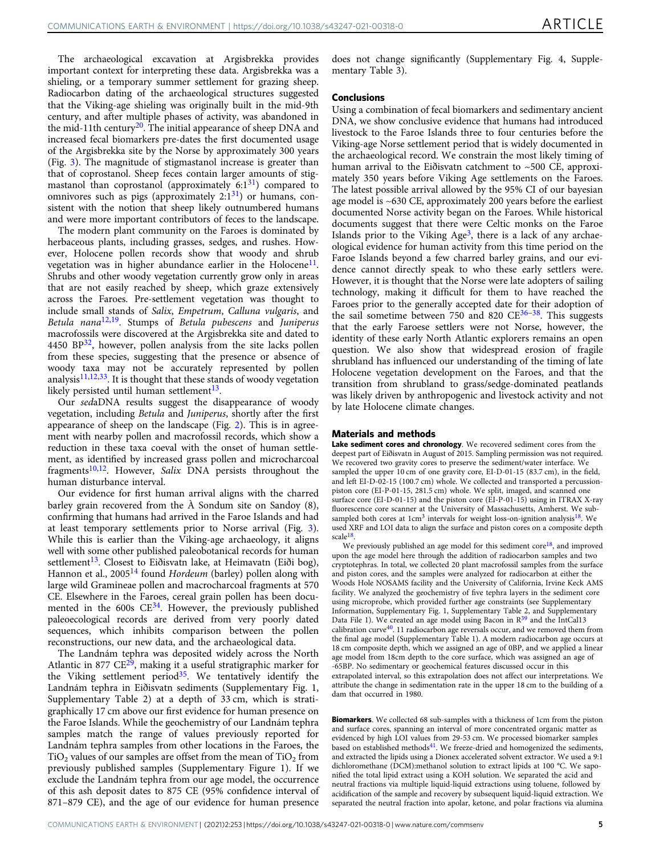The archaeological excavation at Argisbrekka provides important context for interpreting these data. Argisbrekka was a shieling, or a temporary summer settlement for grazing sheep. Radiocarbon dating of the archaeological structures suggested that the Viking-age shieling was originally built in the mid-9th century, and after multiple phases of activity, was abandoned in the mid-11th century<sup>[20](#page-5-0)</sup>. The initial appearance of sheep DNA and increased fecal biomarkers pre-dates the first documented usage of the Argisbrekka site by the Norse by approximately 300 years (Fig. [3\)](#page-3-0). The magnitude of stigmastanol increase is greater than that of coprostanol. Sheep feces contain larger amounts of stigmastanol than coprostanol (approximately  $6:1^{31}$ ) compared to omnivores such as pigs (approximately  $2:1^{31}$  $2:1^{31}$  $2:1^{31}$ ) or humans, consistent with the notion that sheep likely outnumbered humans and were more important contributors of feces to the landscape.

The modern plant community on the Faroes is dominated by herbaceous plants, including grasses, sedges, and rushes. However, Holocene pollen records show that woody and shrub vegetation was in higher abundance earlier in the Holocene<sup>11</sup>. Shrubs and other woody vegetation currently grow only in areas that are not easily reached by sheep, which graze extensively across the Faroes. Pre-settlement vegetation was thought to include small stands of Salix, Empetrum, Calluna vulgaris, and Betula nana $12,19$ . Stumps of Betula pubescens and Juniperus macrofossils were discovered at the Argisbrekka site and dated to 4450 BP $^{32}$  $^{32}$  $^{32}$ , however, pollen analysis from the site lacks pollen from these species, suggesting that the presence or absence of woody taxa may not be accurately represented by pollen analysis $11,12,33$  $11,12,33$  $11,12,33$  $11,12,33$  $11,12,33$ . It is thought that these stands of woody vegetation likely persisted until human settlement<sup>13</sup>.

Our sedaDNA results suggest the disappearance of woody vegetation, including Betula and Juniperus, shortly after the first appearance of sheep on the landscape (Fig. [2](#page-2-0)). This is in agreement with nearby pollen and macrofossil records, which show a reduction in these taxa coeval with the onset of human settlement, as identified by increased grass pollen and microcharcoal fragments<sup>10,12</sup>. However, Salix DNA persists throughout the human disturbance interval.

Our evidence for first human arrival aligns with the charred barley grain recovered from the À Sondum site on Sandoy (8), confirming that humans had arrived in the Faroe Islands and had at least temporary settlements prior to Norse arrival (Fig. [3](#page-3-0)). While this is earlier than the Viking-age archaeology, it aligns well with some other published paleobotanical records for human settlement<sup>13</sup>. Closest to Eiðisvatn lake, at Heimavatn (Eiði bog), Hannon et al., 2005<sup>[14](#page-5-0)</sup> found Hordeum (barley) pollen along with large wild Gramineae pollen and macrocharcoal fragments at 570 CE. Elsewhere in the Faroes, cereal grain pollen has been documented in the 600s  $CE^{34}$ . However, the previously published paleoecological records are derived from very poorly dated sequences, which inhibits comparison between the pollen reconstructions, our new data, and the archaeological data.

The Landnám tephra was deposited widely across the North Atlantic in 877  $CE^{29}$ , making it a useful stratigraphic marker for the Viking settlement period<sup>35</sup>. We tentatively identify the Landnám tephra in Eiðisvatn sediments (Supplementary Fig. 1, Supplementary Table 2) at a depth of 33 cm, which is stratigraphically 17 cm above our first evidence for human presence on the Faroe Islands. While the geochemistry of our Landnám tephra samples match the range of values previously reported for Landnám tephra samples from other locations in the Faroes, the  $TiO<sub>2</sub>$  values of our samples are offset from the mean of  $TiO<sub>2</sub>$  from previously published samples (Supplementary Figure 1). If we exclude the Landnám tephra from our age model, the occurrence of this ash deposit dates to 875 CE (95% confidence interval of 871–879 CE), and the age of our evidence for human presence does not change significantly (Supplementary Fig. 4, Supplementary Table 3).

### Conclusions

Using a combination of fecal biomarkers and sedimentary ancient DNA, we show conclusive evidence that humans had introduced livestock to the Faroe Islands three to four centuries before the Viking-age Norse settlement period that is widely documented in the archaeological record. We constrain the most likely timing of human arrival to the Eiðisvatn catchment to ~500 CE, approximately 350 years before Viking Age settlements on the Faroes. The latest possible arrival allowed by the 95% CI of our bayesian age model is ~630 CE, approximately 200 years before the earliest documented Norse activity began on the Faroes. While historical documents suggest that there were Celtic monks on the Faroe Islands prior to the Viking Age<sup>3</sup>, there is a lack of any archaeological evidence for human activity from this time period on the Faroe Islands beyond a few charred barley grains, and our evidence cannot directly speak to who these early settlers were. However, it is thought that the Norse were late adopters of sailing technology, making it difficult for them to have reached the Faroes prior to the generally accepted date for their adoption of the sail sometime between 750 and 820  $CE^{36-38}$  $CE^{36-38}$  $CE^{36-38}$  $CE^{36-38}$  $CE^{36-38}$ . This suggests that the early Faroese settlers were not Norse, however, the identity of these early North Atlantic explorers remains an open question. We also show that widespread erosion of fragile shrubland has influenced our understanding of the timing of late Holocene vegetation development on the Faroes, and that the transition from shrubland to grass/sedge-dominated peatlands was likely driven by anthropogenic and livestock activity and not by late Holocene climate changes.

### Materials and methods

Lake sediment cores and chronology. We recovered sediment cores from the deepest part of Eiðisvatn in August of 2015. Sampling permission was not required. We recovered two gravity cores to preserve the sediment/water interface. We sampled the upper 10 cm of one gravity core, EI-D-01-15 (83.7 cm), in the field, and left EI-D-02-15 (100.7 cm) whole. We collected and transported a percussionpiston core (EI-P-01-15, 281.5 cm) whole. We split, imaged, and scanned one surface core (EI-D-01-15) and the piston core (EI-P-01-15) using in ITRAX X-ray fluorescence core scanner at the University of Massachusetts, Amherst. We subsampled both cores at  $1 \text{cm}^3$  intervals for weight loss-on-ignition analysis<sup>18</sup>. We used XRF and LOI data to align the surface and piston cores on a composite depth scale[18](#page-5-0).

We previously published an age model for this sediment  $core^{18}$  $core^{18}$  $core^{18}$ , and improved upon the age model here through the addition of radiocarbon samples and two cryptotephras. In total, we collected 20 plant macrofossil samples from the surface and piston cores, and the samples were analyzed for radiocarbon at either the Woods Hole NOSAMS facility and the University of California, Irvine Keck AMS facility. We analyzed the geochemistry of five tephra layers in the sediment core using microprobe, which provided further age constraints (see Supplementary Information, Supplementary Fig. 1, Supplementary Table 2, and Supplementary Data File 1). We created an age model using Bacon in  $R^{39}$  $R^{39}$  $R^{39}$  and the IntCal13 calibration curve $40$ . 11 radiocarbon age reversals occur, and we removed them from the final age model (Supplementary Table 1). A modern radiocarbon age occurs at 18 cm composite depth, which we assigned an age of 0BP, and we applied a linear age model from 18cm depth to the core surface, which was assigned an age of -65BP. No sedimentary or geochemical features discussed occur in this extrapolated interval, so this extrapolation does not affect our interpretations. We attribute the change in sedimentation rate in the upper 18 cm to the building of a dam that occurred in 1980.

Biomarkers. We collected 68 sub-samples with a thickness of 1cm from the piston and surface cores, spanning an interval of more concentrated organic matter as evidenced by high LOI values from 29-53 cm. We processed biomarker samples based on established methods<sup>41</sup>. We freeze-dried and homogenized the sediments, and extracted the lipids using a Dionex accelerated solvent extractor. We used a 9:1 dichloromethane (DCM):methanol solution to extract lipids at 100 °C. We saponified the total lipid extract using a KOH solution. We separated the acid and neutral fractions via multiple liquid-liquid extractions using toluene, followed by acidification of the sample and recovery by subsequent liquid-liquid extraction. We separated the neutral fraction into apolar, ketone, and polar fractions via alumina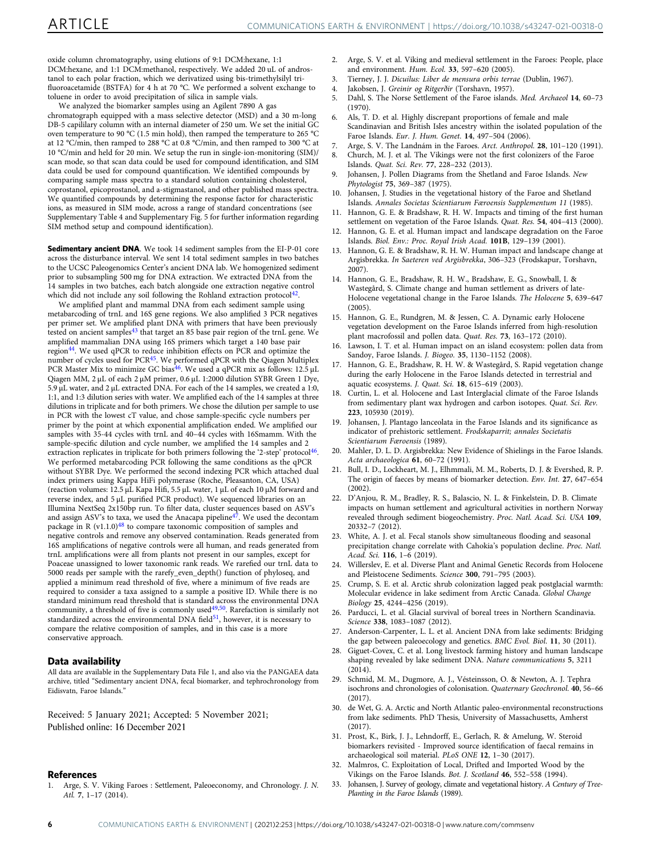<span id="page-5-0"></span>oxide column chromatography, using elutions of 9:1 DCM:hexane, 1:1 DCM:hexane, and 1:1 DCM:methanol, respectively. We added 20 uL of androstanol to each polar fraction, which we derivatized using bis-trimethylsilyl trifluoroacetamide (BSTFA) for 4 h at 70 °C. We performed a solvent exchange to toluene in order to avoid precipitation of silica in sample vials.

We analyzed the biomarker samples using an Agilent 7890 A gas chromatograph equipped with a mass selective detector (MSD) and a 30 m-long DB-5 capililary column with an internal diameter of 250 um. We set the initial GC oven temperature to 90 °C (1.5 min hold), then ramped the temperature to 265 °C at 12 °C/min, then ramped to 288 °C at 0.8 °C/min, and then ramped to 300 °C at 10 °C/min and held for 20 min. We setup the run in single-ion-monitoring (SIM)/ scan mode, so that scan data could be used for compound identification, and SIM data could be used for compound quantification. We identified compounds by comparing sample mass spectra to a standard solution containing cholesterol, coprostanol, epicoprostanol, and a-stigmastanol, and other published mass spectra. We quantified compounds by determining the response factor for characteristic ions, as measured in SIM mode, across a range of standard concentrations (see Supplementary Table 4 and Supplementary Fig. 5 for further information regarding SIM method setup and compound identification).

Sedimentary ancient DNA. We took 14 sediment samples from the EI-P-01 core across the disturbance interval. We sent 14 total sediment samples in two batches to the UCSC Paleogenomics Center's ancient DNA lab. We homogenized sediment prior to subsampling 500 mg for DNA extraction. We extracted DNA from the 14 samples in two batches, each batch alongside one extraction negative control which did not include any soil following the Rohland extraction protocol<sup>42</sup>

We amplified plant and mammal DNA from each sediment sample using metabarcoding of trnL and 16S gene regions. We also amplified 3 PCR negatives per primer set. We amplified plant DNA with primers that have been previously tested on ancient samples<sup>[43](#page-6-0)</sup> that target an 85 base pair region of the trnL gene. We amplified mammalian DNA using 16S primers which target a 140 base pair region[44](#page-6-0). We used qPCR to reduce inhibition effects on PCR and optimize the number of cycles used for PCR<sup>45</sup>. We performed qPCR with the Qiagen Multiplex PCR Master Mix to minimize GC bias<sup>[46](#page-6-0)</sup>. We used a qPCR mix as follows: 12.5 μL Qiagen MM, 2 μL of each 2 μM primer, 0.6 μL 1:2000 dilution SYBR Green 1 Dye, 5.9 μL water, and 2 μL extracted DNA. For each of the 14 samples, we created a 1:0, 1:1, and 1:3 dilution series with water. We amplified each of the 14 samples at three dilutions in triplicate and for both primers. We chose the dilution per sample to use in PCR with the lowest cT value, and chose sample-specific cycle numbers per primer by the point at which exponential amplification ended. We amplified our samples with 35-44 cycles with trnL and 40–44 cycles with 16Smamm. With the sample-specific dilution and cycle number, we amplified the 14 samples and 2 extraction replicates in triplicate for both primers following the '2-step' protocol<sup>[46](#page-6-0)</sup>. We performed metabarcoding PCR following the same conditions as the qPCR without SYBR Dye. We performed the second indexing PCR which attached dual index primers using Kappa HiFi polymerase (Roche, Pleasanton, CA, USA) (reaction volumes: 12.5 μL Kapa Hifi, 5.5 μL water, 1 μL of each 10 μM forward and reverse index, and 5 μL purified PCR product). We sequenced libraries on an Illumina NextSeq 2x150bp run. To filter data, cluster sequences based on ASV's and assign ASV's to taxa, we used the Anacapa pipeline<sup>47</sup>. We used the decontam package in R  $(v1.1.0)$ <sup>[48](#page-6-0)</sup> to compare taxonomic composition of samples and negative controls and remove any observed contamination. Reads generated from 16S amplifications of negative controls were all human, and reads generated from trnL amplifications were all from plants not present in our samples, except for Poaceae unassigned to lower taxonomic rank reads. We rarefied our trnL data to 5000 reads per sample with the rarefy\_even\_depth() function of phyloseq, and applied a minimum read threshold of five, where a minimum of five reads are required to consider a taxa assigned to a sample a positive ID. While there is no standard minimum read threshold that is standard across the environmental DNA community, a threshold of five is commonly used $49,50$  $49,50$  $49,50$ . Rarefaction is similarly not standardized across the environmental DNA field<sup>[51](#page-6-0)</sup>, however, it is necessary to compare the relative composition of samples, and in this case is a more conservative approach.

### Data availability

All data are available in the Supplementary Data File 1, and also via the PANGAEA data archive, titled "Sedimentary ancient DNA, fecal biomarker, and tephrochronology from Eidisvatn, Faroe Islands."

Received: 5 January 2021; Accepted: 5 November 2021; Published online: 16 December 2021

### References

1. Arge, S. V. Viking Faroes : Settlement, Paleoeconomy, and Chronology. J. N. Atl. 7, 1–17 (2014).

- 2. Arge, S. V. et al. Viking and medieval settlement in the Faroes: People, place and environment. Hum. Ecol. 33, 597–620 (2005).
- 3. Tierney, J. J. Dicuilus: Liber de mensura orbis terrae (Dublin, 1967).<br>4. Jakobsen, J. Greinir og Ritgerðir (Torshavn, 1957).
- Jakobsen, J. Greinir og Ritgerðir (Torshavn, 1957).
- 5. Dahl, S. The Norse Settlement of the Faroe islands. Med. Archaeol 14, 60–73 (1970).
- 6. Als, T. D. et al. Highly discrepant proportions of female and male Scandinavian and British Isles ancestry within the isolated population of the Faroe Islands. Eur. J. Hum. Genet. 14, 497–504 (2006).
- 7. Arge, S. V. The Landnám in the Faroes. Arct. Anthropol. 28, 101–120 (1991).
- 8. Church, M. J. et al. The Vikings were not the first colonizers of the Faroe Islands. Quat. Sci. Rev. 77, 228–232 (2013).
- Johansen, J. Pollen Diagrams from the Shetland and Faroe Islands. New Phytologist 75, 369–387 (1975).
- 10. Johansen, J. Studies in the vegetational history of the Faroe and Shetland Islands. Annales Societas Scientiarum Færoensis Supplementum 11 (1985).
- 11. Hannon, G. E. & Bradshaw, R. H. W. Impacts and timing of the first human settlement on vegetation of the Faroe Islands. Quat. Res. 54, 404–413 (2000).
- 12. Hannon, G. E. et al. Human impact and landscape degradation on the Faroe Islands. Biol. Env.: Proc. Royal Irish Acad. 101B, 129–139 (2001).
- Hannon, G. E. & Bradshaw, R. H. W. Human impact and landscape change at Argisbrekka. In Saeteren ved Argisbrekka, 306–323 (Frodskapur, Torshavn, 2007).
- 14. Hannon, G. E., Bradshaw, R. H. W., Bradshaw, E. G., Snowball, I. & Wastegård, S. Climate change and human settlement as drivers of late-Holocene vegetational change in the Faroe Islands. The Holocene 5, 639–647 (2005).
- 15. Hannon, G. E., Rundgren, M. & Jessen, C. A. Dynamic early Holocene vegetation development on the Faroe Islands inferred from high-resolution plant macrofossil and pollen data. Quat. Res. 73, 163–172 (2010).
- Lawson, I. T. et al. Human impact on an island ecosystem: pollen data from Sandoy, Faroe Islands. J. Biogeo. 35, 1130–1152 (2008).
- 17. Hannon, G. E., Bradshaw, R. H. W. & Wastegård, S. Rapid vegetation change during the early Holocene in the Faroe Islands detected in terrestrial and aquatic ecosystems. J. Quat. Sci. 18, 615–619 (2003).
- 18. Curtin, L. et al. Holocene and Last Interglacial climate of the Faroe Islands from sedimentary plant wax hydrogen and carbon isotopes. Quat. Sci. Rev. 223, 105930 (2019).
- 19. Johansen, J. Plantago lanceolata in the Faroe Islands and its significance as indicator of prehistoric settlement. Frodskaparrit; annales Societatis Scientiarum Færoensis (1989).
- 20. Mahler, D. L. D. Argisbrekka: New Evidence of Shielings in the Faroe Islands. Acta archaeologica 61, 60–72 (1991).
- 21. Bull, I. D., Lockheart, M. J., Elhmmali, M. M., Roberts, D. J. & Evershed, R. P. The origin of faeces by means of biomarker detection. Env. Int. 27, 647–654 (2002).
- 22. D'Anjou, R. M., Bradley, R. S., Balascio, N. L. & Finkelstein, D. B. Climate impacts on human settlement and agricultural activities in northern Norway revealed through sediment biogeochemistry. Proc. Natl. Acad. Sci. USA 109, 20332–7 (2012).
- 23. White, A. J. et al. Fecal stanols show simultaneous flooding and seasonal precipitation change correlate with Cahokia's population decline. Proc. Natl. Acad. Sci. 116, 1–6 (2019).
- 24. Willerslev, E. et al. Diverse Plant and Animal Genetic Records from Holocene and Pleistocene Sediments. Science 300, 791-795 (2003)
- 25. Crump, S. E. et al. Arctic shrub colonization lagged peak postglacial warmth: Molecular evidence in lake sediment from Arctic Canada. Global Change Biology 25, 4244–4256 (2019).
- 26. Parducci, L. et al. Glacial survival of boreal trees in Northern Scandinavia. Science 338, 1083–1087 (2012).
- 27. Anderson-Carpenter, L. L. et al. Ancient DNA from lake sediments: Bridging the gap between paleoecology and genetics. BMC Evol. Biol. 11, 30 (2011).
- 28. Giguet-Covex, C. et al. Long livestock farming history and human landscape shaping revealed by lake sediment DNA. Nature communications 5, 3211 (2014).
- 29. Schmid, M. M., Dugmore, A. J., Vésteinsson, O. & Newton, A. J. Tephra isochrons and chronologies of colonisation. Quaternary Geochronol. 40, 56–66 (2017).
- 30. de Wet, G. A. Arctic and North Atlantic paleo-environmental reconstructions from lake sediments. PhD Thesis, University of Massachusetts, Amherst  $(2017)$
- 31. Prost, K., Birk, J. J., Lehndorff, E., Gerlach, R. & Amelung, W. Steroid biomarkers revisited - Improved source identification of faecal remains in archaeological soil material. PLoS ONE 12, 1–30 (2017).
- 32. Malmros, C. Exploitation of Local, Drifted and Imported Wood by the Vikings on the Faroe Islands. Bot. J. Scotland 46, 552–558 (1994).
- 33. Johansen, J. Survey of geology, climate and vegetational history. A Century of Tree-Planting in the Faroe Islands (1989).